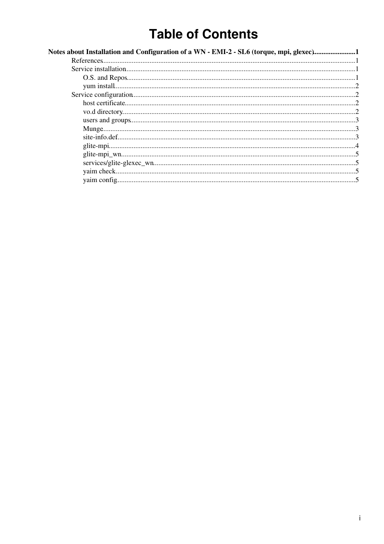# **Table of Contents**

| Notes about Installation and Configuration of a WN - EMI-2 - SL6 (torque, mpi, glexec)1 |  |
|-----------------------------------------------------------------------------------------|--|
|                                                                                         |  |
|                                                                                         |  |
|                                                                                         |  |
|                                                                                         |  |
|                                                                                         |  |
|                                                                                         |  |
|                                                                                         |  |
|                                                                                         |  |
|                                                                                         |  |
|                                                                                         |  |
|                                                                                         |  |
|                                                                                         |  |
|                                                                                         |  |
|                                                                                         |  |
|                                                                                         |  |
|                                                                                         |  |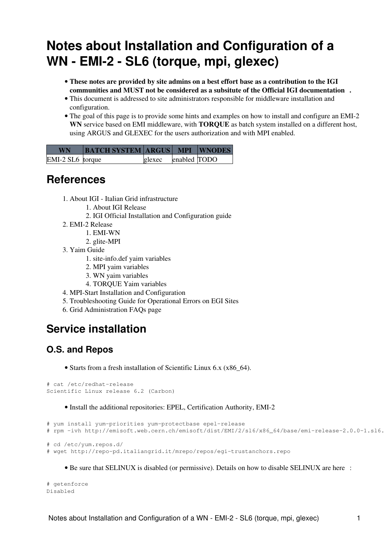# <span id="page-1-0"></span>**Notes about Installation and Configuration of a WN - EMI-2 - SL6 (torque, mpi, glexec)**

- **These notes are provided by site admins on a best effort base as a contribution to the IGI communities and MUST not be considered as a subsitute of the [Official IGI documentation](http://wiki.italiangrid.it/twiki/bin/view/IGIRelease/IgiEmi) .**
- This document is addressed to site administrators responsible for middleware installation and configuration.
- The goal of this page is to provide some hints and examples on how to install and configure an EMI-2 **WN** service based on EMI middleware, with **TORQUE** as batch system installed on a different host, using ARGUS and GLEXEC for the users authorization and with MPI enabled.

| <b>WN</b>        | <b>BATCH SYSTEM ARGUS MPI WNODES</b> |        |              |  |
|------------------|--------------------------------------|--------|--------------|--|
| EMI-2 SL6 torque |                                      | glexec | enabled TODO |  |

## <span id="page-1-1"></span>**References**

- [About IGI Italian Grid infrastructure](http://www.italiangrid.it/) 1.
	- 1. [About IGI Release](http://wiki.italiangrid.it/twiki/bin/view/IGIRelease/WebHome)
	- 2. [IGI Official Installation and Configuration guide](http://wiki.italiangrid.it/twiki/bin/view/IGIRelease/IgiEmi)
- 2. [EMI-2 Release](http://www.eu-emi.eu/emi-2-matterhorn)
	- 1. [EMI-WN](http://www.eu-emi.eu/emi-2-matterhorn-products/-/asset_publisher/B4Rk/content/emi-wn-1)
	- 2. [glite-MPI](http://www.eu-emi.eu/emi-2-matterhorn-products/-/asset_publisher/B4Rk/content/glite-mpi-1)
- [Yaim Guide](https://twiki.cern.ch/twiki/bin/view/LCG/YaimGuide400) 3.
	- 1. [site-info.def yaim variables](https://twiki.cern.ch/twiki/bin/view/LCG/Site-info_configuration_variables#site_info_def)
	- 2. [MPI yaim variables](https://twiki.cern.ch/twiki/bin/view/LCG/Site-info_configuration_variables#MPI)
	- 3. [WN yaim variables](https://twiki.cern.ch/twiki/bin/view/LCG/Site-info_configuration_variables#WN)
	- 4. [TORQUE Yaim variables](https://twiki.cern.ch/twiki/bin/view/LCG/Site-info_configuration_variables#TORQUE)
- 4. [MPI-Start Installation and Configuration](https://wiki.egi.eu/wiki/MAN03)
- 5. [Troubleshooting Guide for Operational Errors on EGI Sites](https://wiki.egi.eu/wiki/Tools/Manuals/SiteProblemsFollowUp)
- 6. [Grid Administration FAQs page](https://wiki.egi.eu/wiki/Tools/Manuals/AdministrationFaq)

## <span id="page-1-2"></span>**Service installation**

## <span id="page-1-3"></span>**O.S. and Repos**

• Starts from a fresh installation of Scientific Linux 6.x (x86\_64).

```
# cat /etc/redhat-release 
Scientific Linux release 6.2 (Carbon)
```
#### • Install the additional repositories: EPEL, Certification Authority, EMI-2

```
# yum install yum-priorities yum-protectbase epel-release
# rpm -ivh http://emisoft.web.cern.ch/emisoft/dist/EMI/2/sl6/x86_64/base/emi-release-2.0.0-1.sl6.
# cd /etc/yum.repos.d/
# wget http://repo-pd.italiangrid.it/mrepo/repos/egi-trustanchors.repo
```
• Be sure that SELINUX is disabled (or permissive). Details on how to disable SELINUX are [here](http://fedoraproject.org/wiki/SELinux/setenforce) :

# getenforce Disabled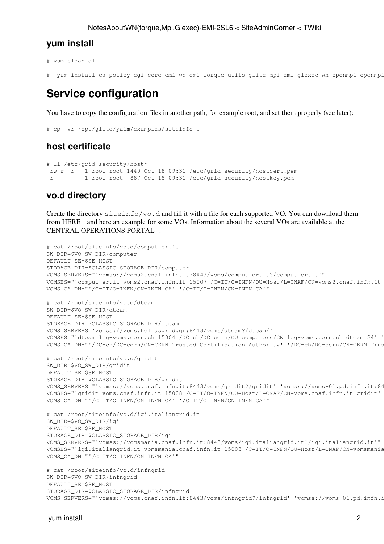#### <span id="page-2-0"></span>**yum install**

```
# yum clean all
```

```
# yum install ca-policy-egi-core emi-wn emi-torque-utils glite-mpi emi-glexec_wn openmpi openmpi
```
## <span id="page-2-1"></span>**Service configuration**

You have to copy the configuration files in another path, for example root, and set them properly (see later):

```
# cp -vr /opt/glite/yaim/examples/siteinfo .
```
### <span id="page-2-2"></span>**host certificate**

```
# ll /etc/grid-security/host*
-rw-r--r-- 1 root root 1440 Oct 18 09:31 /etc/grid-security/hostcert.pem
-r-------- 1 root root 887 Oct 18 09:31 /etc/grid-security/hostkey.pem
```
### <span id="page-2-3"></span>**vo.d directory**

Create the directory siteinfo/vo.d and fill it with a file for each supported VO. You can download them from [HERE](https://forge.cnaf.infn.it/plugins/scmsvn/viewcvs.php/branches/BRANCH-4_0_X/ig-yaim/examples/siteinfo/vo.d/?root=igrelease) and [here](https://wiki-igi.cnaf.infn.it/twiki/bin/view/SiteAdminCorner/VoDirContent) an example for some VOs. Information about the several VOs are available at the [CENTRAL OPERATIONS PORTAL](http://operations-portal.in2p3.fr/vo) .

```
# cat /root/siteinfo/vo.d/comput-er.it
SW_DIR=$VO_SW_DIR/computer
DEFAULT_SE=$SE_HOST
STORAGE_DIR=$CLASSIC_STORAGE_DIR/computer
VOMS_SERVERS="'vomss://voms2.cnaf.infn.it:8443/voms/comput-er.it?/comput-er.it'"
VOMSES="'comput-er.it voms2.cnaf.infn.it 15007 /C=IT/O=INFN/OU=Host/L=CNAF/CN=voms2.cnaf.infn.it
VOMS_CA_DN="'/C=IT/O=INFN/CN=INFN CA' '/C=IT/O=INFN/CN=INFN CA'"
# cat /root/siteinfo/vo.d/dteam
SW_DIR=$VO_SW_DIR/dteam
DEFAULT_SE=$SE_HOST
STORAGE_DIR=$CLASSIC_STORAGE_DIR/dteam
VOMS_SERVERS='vomss://voms.hellasgrid.gr:8443/voms/dteam?/dteam/'
VOMSES="'dteam lcg-voms.cern.ch 15004 /DC=ch/DC=cern/OU=computers/CN=lcg-voms.cern.ch dteam 24' '
VOMS_CA_DN="'/DC=ch/DC=cern/CN=CERN Trusted Certification Authority' '/DC=ch/DC=cern/CN=CERN Trus
# cat /root/siteinfo/vo.d/gridit
SW_DIR=$VO_SW_DIR/gridit
DEFAULT_SE=$SE_HOST
STORAGE_DIR=$CLASSIC_STORAGE_DIR/gridit
VOMS_SERVERS="'vomss://voms.cnaf.infn.it:8443/voms/gridit?/gridit' 'vomss://voms-01.pd.infn.it:8443/voms/gridit?/gridit'"
VOMSES="'gridit voms.cnaf.infn.it 15008 /C=IT/O=INFN/OU=Host/L=CNAF/CN=voms.cnaf.infn.it gridit' 'gridit voms-01.pd.infn.it 15008 /C=IT/O=INFN/OU=Host/L=Padova/CN=voms-01.pd.infn.it gridit'"
VOMS_CA_DN="'/C=IT/O=INFN/CN=INFN CA' '/C=IT/O=INFN/CN=INFN CA'"
# cat /root/siteinfo/vo.d/igi.italiangrid.it
SW_DIR=$VO_SW_DIR/igi
DEFAULT_SE=$SE_HOST
STORAGE_DIR=$CLASSIC_STORAGE_DIR/igi
VOMS_SERVERS="'vomss://vomsmania.cnaf.infn.it:8443/voms/igi.italiangrid.it?/igi.italiangrid.it'"
VOMSES="'igi.italiangrid.it vomsmania.cnaf.infn.it 15003 /C=IT/O=INFN/OU=Host/L=CNAF/CN=vomsmania.cnaf.infn.it igi.italiangrid.it'"
VOMS_CA_DN="'/C=IT/O=INFN/CN=INFN CA'"
# cat /root/siteinfo/vo.d/infngrid
SW_DIR=$VO_SW_DIR/infngrid
```

```
DEFAULT_SE=$SE_HOST
STORAGE_DIR=$CLASSIC_STORAGE_DIR/infngrid
VOMS_SERVERS="'vomss://voms.cnaf.infn.it:8443/voms/infngrid?/infngrid' 'vomss://voms-01.pd.infn.it:8443/voms/infngrid?/infngrid'"
```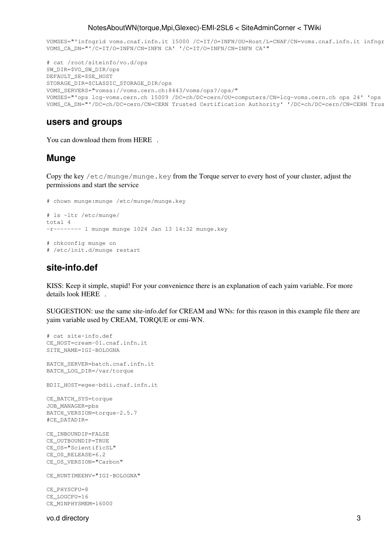#### NotesAboutWN(torque,Mpi,Glexec)-EMI-2SL6 < SiteAdminCorner < TWiki

```
VOMSES="'infngrid voms.cnaf.infn.it 15000 /C=IT/O=INFN/OU=Host/L=CNAF/CN=voms.cnaf.infn.it infngr
VOMS CA DN="'/C=IT/O=INFN/CN=INFN CA' '/C=IT/O=INFN/CN=INFN CA'"
```

```
# cat /root/siteinfo/vo.d/ops
SW_DIR=$VO_SW_DIR/ops
DEFAULT_SE=$SE_HOST
STORAGE DIR=$CLASSIC STORAGE DIR/ops
VOMS_SERVERS="vomss://voms.cern.ch:8443/voms/ops?/ops/"
VOMSES="'ops lcg-voms.cern.ch 15009 /DC=ch/DC=cern/OU=computers/CN=lcg-voms.cern.ch ops 24' 'ops
VOMS_CA_DN="'/DC=ch/DC=cern/CN=CERN Trusted Certification Authority' '/DC=ch/DC=cern/CN=CERN Trus
```
#### <span id="page-3-0"></span>users and groups

You can download them from HERE.

#### <span id="page-3-1"></span>**Munge**

Copy the key /etc/munge/munge.key from the Torque server to every host of your cluster, adjust the permissions and start the service

```
# chown munge: munge /etc/munge/munge.key
# 1s -1tr /etc/munge/
total 4
-r-------- 1 munge munge 1024 Jan 13 14:32 munge.key
# chkconfig munge on
# /etc/init.d/munge restart
```
#### <span id="page-3-2"></span>site-info.def

KISS: Keep it simple, stupid! For your convenience there is an explanation of each yaim variable. For more details look HERE.

SUGGESTION: use the same site-info.def for CREAM and WNs: for this reason in this example file there are yaim variable used by CREAM, TORQUE or emi-WN.

```
# cat site-info.def
CE_HOST=cream-01.cnaf.infn.it
SITE_NAME=IGI-BOLOGNA
BATCH_SERVER=batch.cnaf.infn.it
BATCH_LOG_DIR=/var/torque
BDII_HOST=eqee-bdii.cnaf.infn.it
CE_BATCH_SYS=torque
JOB_MANAGER=pbs
BATCH_VERSION=torque-2.5.7
#CE_DATADIR=
CE INBOUNDIP=FALSE
CE_OUTBOUNDIP=TRUE
CE_OS="ScientificSL"
CE_OS_RELEASE=6.2
CE_OS_VERSION="Carbon"
CE_RUNTIMEENV="IGI-BOLOGNA"
CE_PHYSCPU=8
CE_LOGCPU=16
```
CE\_MINPHYSMEM=16000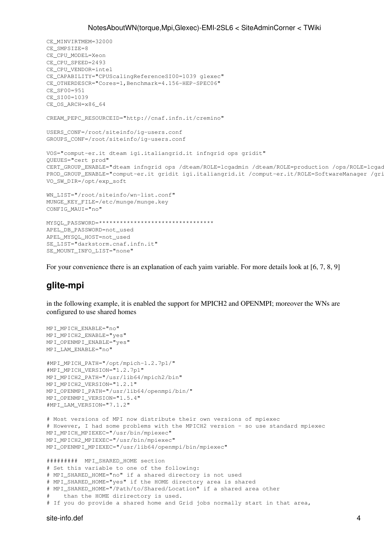```
CE MINVIRTMEM=32000
CE SMPSIZE=8
CE_CPU_MODEL=Xeon
CE_CPU_SPEED=2493
CE CPU VENDOR=intel
CE CAPABILITY="CPUScalingReferenceSI00=1039 glexec"
CE OTHERDESCR="Cores=1, Benchmark=4.156-HEP-SPEC06"
CE SF00=951
CE_SI00=1039
CE_OS_ARCH=x86_64
CREAM PEPC RESOURCEID="http://cnaf.infn.it/cremino"
USERS_CONF=/root/siteinfo/iq-users.conf
GROUPS CONF=/root/siteinfo/ig-users.conf
VOS="comput-er.it dteam igi.italiangrid.it infngrid ops gridit"
QUEUES="cert prod"
CERT_GROUP_ENABLE="dteam_infngrid_ops /dteam/ROLE=lcgadmin /dteam/ROLE=production /ops/ROLE=lcgad
PROD_GROUP_ENABLE="comput-er.it gridit igi.italiangrid.it /comput-er.it/ROLE=SoftwareManager /qri
VO_SW_DIR=/opt/exp_soft
WN_LIST="/root/siteinfo/wn-list.conf"
MUNGE_KEY_FILE=/etc/munge/munge.key
CONFIG_MAUI="no"
MYSQL PASSWORD=**********************************
APEL DB PASSWORD=not_used
APEL_MYSQL_HOST=not_used
```

```
For your convenience there is an explanation of each yaim variable. For more details look at [6, 7, 8, 9]
```
## <span id="page-4-0"></span>glite-mpi

SE\_LIST="darkstorm.cnaf.infn.it"

SE MOUNT INFO LIST="none"

in the following example, it is enabled the support for MPICH2 and OPENMPI; moreover the WNs are configured to use shared homes

```
MPI_MPICH_ENABLE="no"
MPI_MPICH2_ENABLE="yes"
MPI_OPENMPI_ENABLE="yes"
MPI_LAM_ENABLE="no"
#MPI_MPICH_PATH="/opt/mpich-1.2.7p1/"
#MPI_MPICH_VERSION="1.2.7p1"
MPI_MPICH2_PATH="/usr/lib64/mpich2/bin"
MPI_MPICH2_VERSION="1.2.1"
MPI_OPENMPI_PATH="/usr/lib64/openmpi/bin/"
MPI_OPENMPI_VERSION="1.5.4"
#MPI_LAM_VERSION="7.1.2"
# Most versions of MPI now distribute their own versions of mpiexec
# However, I had some problems with the MPICH2 version - so use standard mpiexec
MPI_MPICH_MPIEXEC="/usr/bin/mpiexec"
MPI_MPICH2_MPIEXEC="/usr/bin/mpiexec"
MPI_OPENMPI_MPIEXEC="/usr/lib64/openmpi/bin/mpiexec"
######### MPI_SHARED_HOME section
# Set this variable to one of the following:
# MPI_SHARED_HOME="no" if a shared directory is not used
# MPI_SHARED_HOME="yes" if the HOME directory area is shared
# MPI_SHARED_HOME="/Path/to/Shared/Location" if a shared area other
    than the HOME dirirectory is used.
# If you do provide a shared home and Grid jobs normally start in that area,
```